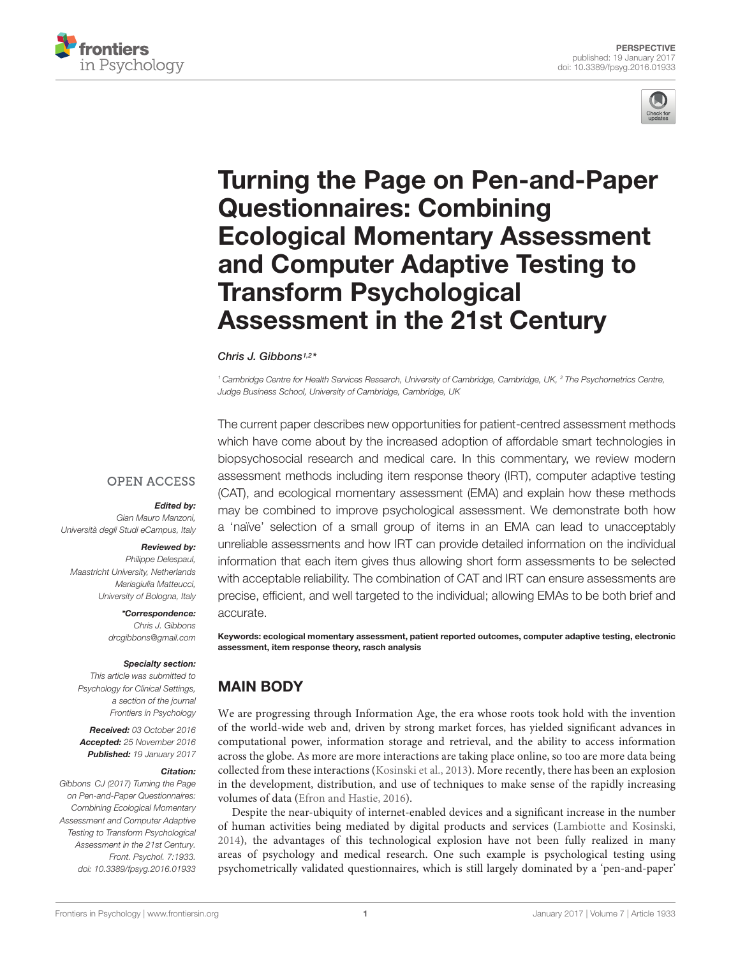



# [Turning the Page on Pen-and-Paper](http://journal.frontiersin.org/article/10.3389/fpsyg.2016.01933/abstract) Questionnaires: Combining Ecological Momentary Assessment and Computer Adaptive Testing to Transform Psychological Assessment in the 21st Century

### [Chris J. Gibbons](http://loop.frontiersin.org/people/13623/overview)1,2 \*

<sup>1</sup> Cambridge Centre for Health Services Research, University of Cambridge, Cambridge, UK, <sup>2</sup> The Psychometrics Centre, Judge Business School, University of Cambridge, Cambridge, UK

**OPEN ACCESS** 

#### Edited by:

Gian Mauro Manzoni, Università degli Studi eCampus, Italy

#### Reviewed by:

Philippe Delespaul, Maastricht University, Netherlands Mariagiulia Matteucci, University of Bologna, Italy

\*Correspondence:

Chris J. Gibbons drcgibbons@gmail.com

#### Specialty section:

This article was submitted to Psychology for Clinical Settings, a section of the journal Frontiers in Psychology

Received: 03 October 2016 Accepted: 25 November 2016 Published: 19 January 2017

#### Citation:

Gibbons CJ (2017) Turning the Page on Pen-and-Paper Questionnaires: Combining Ecological Momentary Assessment and Computer Adaptive Testing to Transform Psychological Assessment in the 21st Century. Front. Psychol. 7:1933. doi: [10.3389/fpsyg.2016.01933](https://doi.org/10.3389/fpsyg.2016.01933)

The current paper describes new opportunities for patient-centred assessment methods which have come about by the increased adoption of affordable smart technologies in biopsychosocial research and medical care. In this commentary, we review modern assessment methods including item response theory (IRT), computer adaptive testing (CAT), and ecological momentary assessment (EMA) and explain how these methods may be combined to improve psychological assessment. We demonstrate both how a 'naïve' selection of a small group of items in an EMA can lead to unacceptably unreliable assessments and how IRT can provide detailed information on the individual information that each item gives thus allowing short form assessments to be selected with acceptable reliability. The combination of CAT and IRT can ensure assessments are precise, efficient, and well targeted to the individual; allowing EMAs to be both brief and accurate.

Keywords: ecological momentary assessment, patient reported outcomes, computer adaptive testing, electronic assessment, item response theory, rasch analysis

## MAIN BODY

We are progressing through Information Age, the era whose roots took hold with the invention of the world-wide web and, driven by strong market forces, has yielded significant advances in computational power, information storage and retrieval, and the ability to access information across the globe. As more are more interactions are taking place online, so too are more data being collected from these interactions [\(Kosinski et al., 2013\)](#page-3-0). More recently, there has been an explosion in the development, distribution, and use of techniques to make sense of the rapidly increasing volumes of data [\(Efron and Hastie, 2016\)](#page-3-1).

Despite the near-ubiquity of internet-enabled devices and a significant increase in the number of human activities being mediated by digital products and services [\(Lambiotte and Kosinski,](#page-3-2) [2014\)](#page-3-2), the advantages of this technological explosion have not been fully realized in many areas of psychology and medical research. One such example is psychological testing using psychometrically validated questionnaires, which is still largely dominated by a 'pen-and-paper'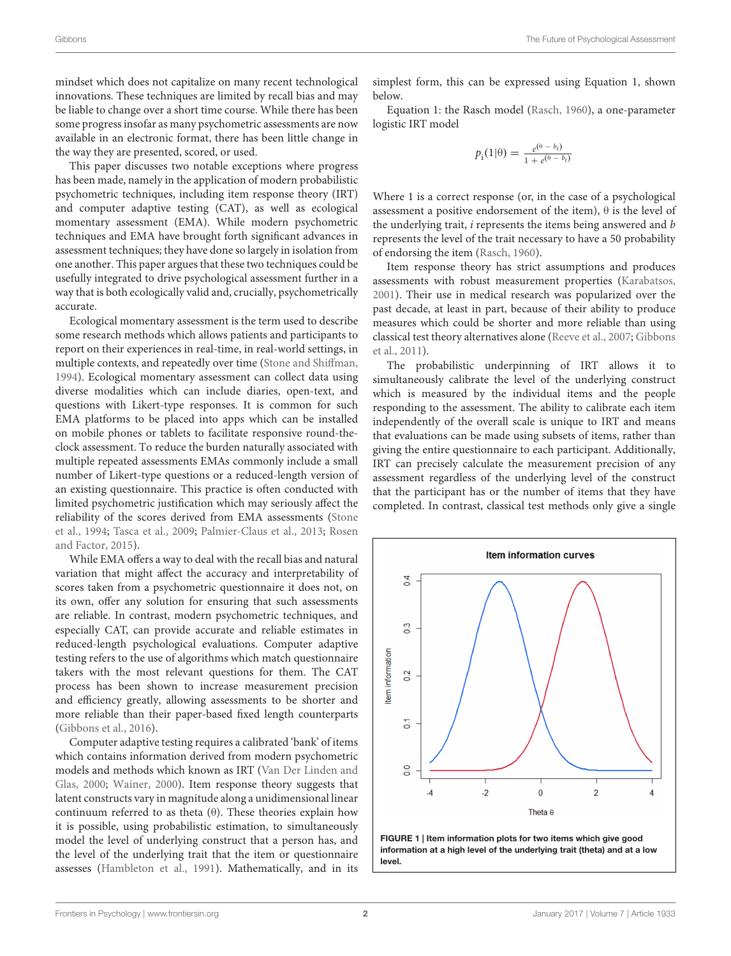mindset which does not capitalize on many recent technological innovations. These techniques are limited by recall bias and may be liable to change over a short time course. While there has been some progress insofar as many psychometric assessments are now available in an electronic format, there has been little change in the way they are presented, scored, or used.

This paper discusses two notable exceptions where progress has been made, namely in the application of modern probabilistic psychometric techniques, including item response theory (IRT) and computer adaptive testing (CAT), as well as ecological momentary assessment (EMA). While modern psychometric techniques and EMA have brought forth significant advances in assessment techniques; they have done so largely in isolation from one another. This paper argues that these two techniques could be usefully integrated to drive psychological assessment further in a way that is both ecologically valid and, crucially, psychometrically accurate.

Ecological momentary assessment is the term used to describe some research methods which allows patients and participants to report on their experiences in real-time, in real-world settings, in multiple contexts, and repeatedly over time [\(Stone and Shiffman,](#page-3-3) [1994\)](#page-3-3). Ecological momentary assessment can collect data using diverse modalities which can include diaries, open-text, and questions with Likert-type responses. It is common for such EMA platforms to be placed into apps which can be installed on mobile phones or tablets to facilitate responsive round-theclock assessment. To reduce the burden naturally associated with multiple repeated assessments EMAs commonly include a small number of Likert-type questions or a reduced-length version of an existing questionnaire. This practice is often conducted with limited psychometric justification which may seriously affect the reliability of the scores derived from EMA assessments [\(Stone](#page-3-4) [et al.,](#page-3-4) [1994;](#page-3-4) [Tasca et al.,](#page-3-5) [2009;](#page-3-5) [Palmier-Claus et al.,](#page-3-6) [2013;](#page-3-6) [Rosen](#page-3-7) [and Factor,](#page-3-7) [2015\)](#page-3-7).

While EMA offers a way to deal with the recall bias and natural variation that might affect the accuracy and interpretability of scores taken from a psychometric questionnaire it does not, on its own, offer any solution for ensuring that such assessments are reliable. In contrast, modern psychometric techniques, and especially CAT, can provide accurate and reliable estimates in reduced-length psychological evaluations. Computer adaptive testing refers to the use of algorithms which match questionnaire takers with the most relevant questions for them. The CAT process has been shown to increase measurement precision and efficiency greatly, allowing assessments to be shorter and more reliable than their paper-based fixed length counterparts [\(Gibbons et al.,](#page-3-8) [2016\)](#page-3-8).

Computer adaptive testing requires a calibrated 'bank' of items which contains information derived from modern psychometric models and methods which known as IRT [\(Van Der Linden and](#page-3-9) [Glas,](#page-3-9) [2000;](#page-3-9) [Wainer,](#page-3-10) [2000\)](#page-3-10). Item response theory suggests that latent constructs vary in magnitude along a unidimensional linear continuum referred to as theta (θ). These theories explain how it is possible, using probabilistic estimation, to simultaneously model the level of underlying construct that a person has, and the level of the underlying trait that the item or questionnaire assesses [\(Hambleton et al.,](#page-3-11) [1991\)](#page-3-11). Mathematically, and in its

simplest form, this can be expressed using Equation 1, shown below.

Equation 1: the Rasch model [\(Rasch,](#page-3-12) [1960\)](#page-3-12), a one-parameter logistic IRT model

$$
p_i(1|\theta) = \frac{e^{(\theta - b_i)}}{1 + e^{(\theta - b_i)}}
$$

Where 1 is a correct response (or, in the case of a psychological assessment a positive endorsement of the item),  $\theta$  is the level of the underlying trait, *i* represents the items being answered and *b* represents the level of the trait necessary to have a 50 probability of endorsing the item [\(Rasch,](#page-3-12) [1960\)](#page-3-12).

Item response theory has strict assumptions and produces assessments with robust measurement properties [\(Karabatsos,](#page-3-13) [2001\)](#page-3-13). Their use in medical research was popularized over the past decade, at least in part, because of their ability to produce measures which could be shorter and more reliable than using classical test theory alternatives alone [\(Reeve et al.,](#page-3-14) [2007;](#page-3-14) [Gibbons](#page-3-15) [et al.,](#page-3-15) [2011\)](#page-3-15).

The probabilistic underpinning of IRT allows it to simultaneously calibrate the level of the underlying construct which is measured by the individual items and the people responding to the assessment. The ability to calibrate each item independently of the overall scale is unique to IRT and means that evaluations can be made using subsets of items, rather than giving the entire questionnaire to each participant. Additionally, IRT can precisely calculate the measurement precision of any assessment regardless of the underlying level of the construct that the participant has or the number of items that they have completed. In contrast, classical test methods only give a single



<span id="page-1-0"></span>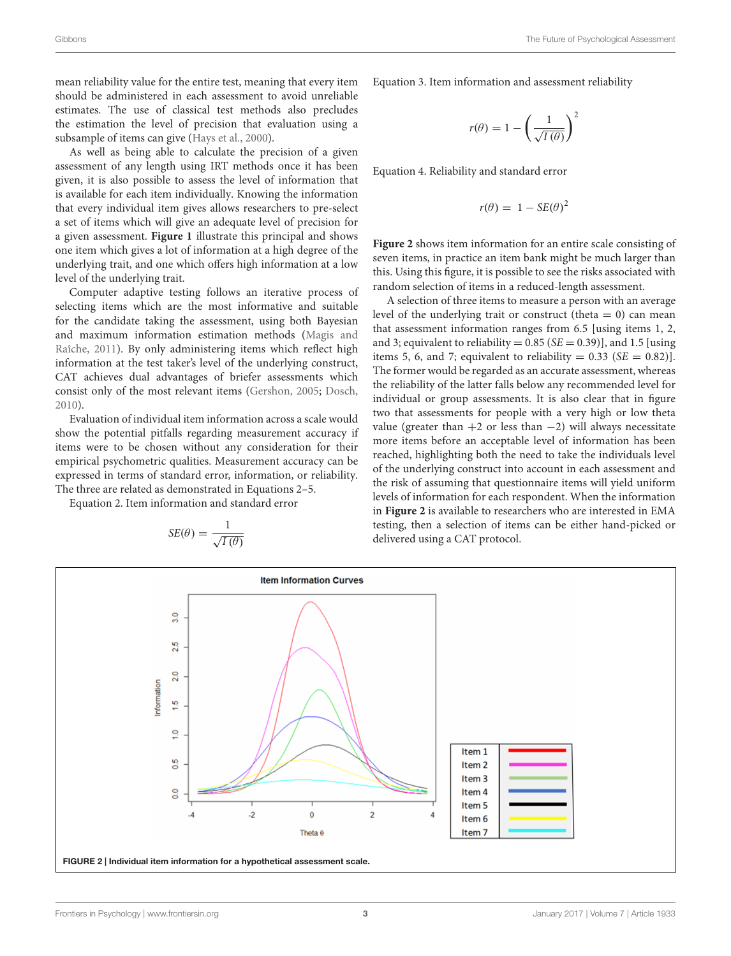mean reliability value for the entire test, meaning that every item should be administered in each assessment to avoid unreliable estimates. The use of classical test methods also precludes the estimation the level of precision that evaluation using a subsample of items can give [\(Hays et al.,](#page-3-16) [2000\)](#page-3-16).

As well as being able to calculate the precision of a given assessment of any length using IRT methods once it has been given, it is also possible to assess the level of information that is available for each item individually. Knowing the information that every individual item gives allows researchers to pre-select a set of items which will give an adequate level of precision for a given assessment. **[Figure 1](#page-1-0)** illustrate this principal and shows one item which gives a lot of information at a high degree of the underlying trait, and one which offers high information at a low level of the underlying trait.

Computer adaptive testing follows an iterative process of selecting items which are the most informative and suitable for the candidate taking the assessment, using both Bayesian and maximum information estimation methods [\(Magis and](#page-3-17) [Raîche,](#page-3-17) [2011\)](#page-3-17). By only administering items which reflect high information at the test taker's level of the underlying construct, CAT achieves dual advantages of briefer assessments which consist only of the most relevant items [\(Gershon,](#page-3-18) [2005;](#page-3-18) [Dosch,](#page-3-19) [2010\)](#page-3-19).

Evaluation of individual item information across a scale would show the potential pitfalls regarding measurement accuracy if items were to be chosen without any consideration for their empirical psychometric qualities. Measurement accuracy can be expressed in terms of standard error, information, or reliability. The three are related as demonstrated in Equations 2–5.

Equation 2. Item information and standard error

$$
SE(\theta) = \frac{1}{\sqrt{I(\theta)}}
$$

Equation 3. Item information and assessment reliability

$$
r(\theta) = 1 - \left(\frac{1}{\sqrt{I(\theta)}}\right)^2
$$

Equation 4. Reliability and standard error

$$
r(\theta) = 1 - SE(\theta)^2
$$

**[Figure 2](#page-2-0)** shows item information for an entire scale consisting of seven items, in practice an item bank might be much larger than this. Using this figure, it is possible to see the risks associated with random selection of items in a reduced-length assessment.

A selection of three items to measure a person with an average level of the underlying trait or construct (theta  $= 0$ ) can mean that assessment information ranges from 6.5 [using items 1, 2, and 3; equivalent to reliability =  $0.85$  (*SE* =  $0.39$ )], and 1.5 [using items 5, 6, and 7; equivalent to reliability =  $0.33$  (SE =  $0.82$ ). The former would be regarded as an accurate assessment, whereas the reliability of the latter falls below any recommended level for individual or group assessments. It is also clear that in figure two that assessments for people with a very high or low theta value (greater than  $+2$  or less than  $-2$ ) will always necessitate more items before an acceptable level of information has been reached, highlighting both the need to take the individuals level of the underlying construct into account in each assessment and the risk of assuming that questionnaire items will yield uniform levels of information for each respondent. When the information in **[Figure 2](#page-2-0)** is available to researchers who are interested in EMA testing, then a selection of items can be either hand-picked or delivered using a CAT protocol.

<span id="page-2-0"></span>